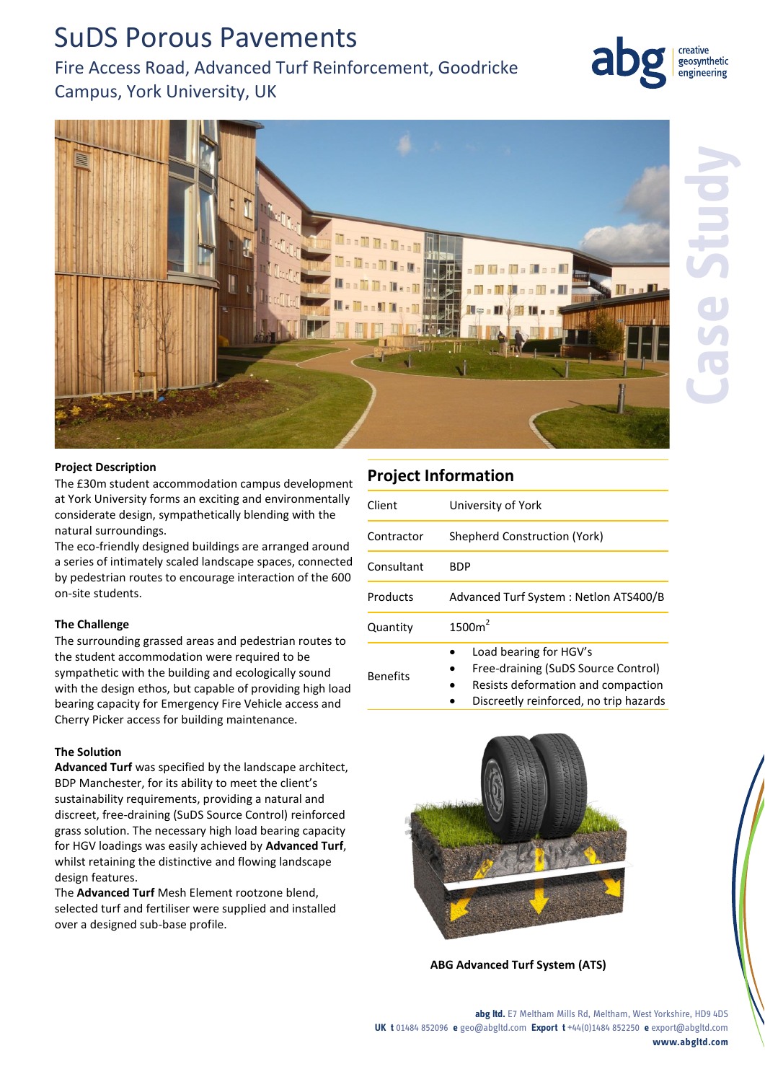# SuDS Porous Pavements

Fire Access Road, Advanced Turf Reinforcement, Goodricke Campus, York University, UK



geosynthetic engineering

#### **Project Description**

The £30m student accommodation campus development at York University forms an exciting and environmentally considerate design, sympathetically blending with the natural surroundings.

The eco-friendly designed buildings are arranged around a series of intimately scaled landscape spaces, connected by pedestrian routes to encourage interaction of the 600 on-site students.

#### **The Challenge**

The surrounding grassed areas and pedestrian routes to the student accommodation were required to be sympathetic with the building and ecologically sound with the design ethos, but capable of providing high load bearing capacity for Emergency Fire Vehicle access and Cherry Picker access for building maintenance.

#### **The Solution**

**Advanced Turf** was specified by the landscape architect, BDP Manchester, for its ability to meet the client's sustainability requirements, providing a natural and discreet, free-draining (SuDS Source Control) reinforced grass solution. The necessary high load bearing capacity for HGV loadings was easily achieved by **Advanced Turf**, whilst retaining the distinctive and flowing landscape design features.

The **Advanced Turf** Mesh Element rootzone blend, selected turf and fertiliser were supplied and installed over a designed sub-base profile.

### **Project Information**

| Client          | University of York                                                                                                                            |
|-----------------|-----------------------------------------------------------------------------------------------------------------------------------------------|
| Contractor      | Shepherd Construction (York)                                                                                                                  |
| Consultant      | BDP                                                                                                                                           |
| Products        | Advanced Turf System: Netlon ATS400/B                                                                                                         |
| Quantity        | 1500m <sup>2</sup>                                                                                                                            |
| <b>Benefits</b> | Load bearing for HGV's<br>Free-draining (SuDS Source Control)<br>Resists deformation and compaction<br>Discreetly reinforced, no trip hazards |



**ABG Advanced Turf System (ATS)**

**abg ltd.** E7 Meltham Mills Rd, Meltham, West Yorkshire, HD9 4DS **UK t** 01484 852096 **e** geo@abgltd.com **Export t** +44(0)1484 852250 **e** export@abgltd.com **www.abgltd.com**